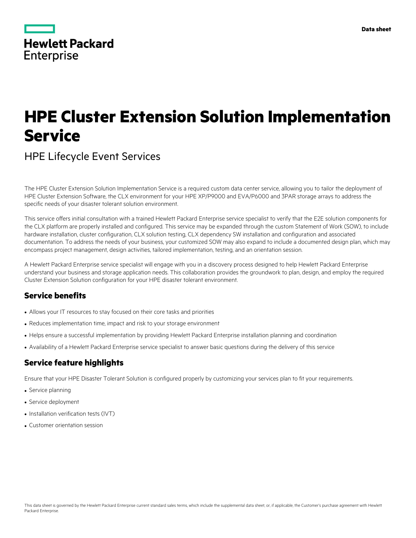|            | <b>Hewlett Packard</b> |
|------------|------------------------|
| Enterprise |                        |

# **HPE Cluster Extension Solution Implementation Service**

## HPE Lifecycle Event Services

The HPE Cluster Extension Solution Implementation Service is a required custom data center service, allowing you to tailor the deployment of HPE Cluster Extension Software, the CLX environment for your HPE XP/P9000 and EVA/P6000 and 3PAR storage arrays to address the specific needs of your disaster tolerant solution environment.

This service offers initial consultation with a trained Hewlett Packard Enterprise service specialist to verify that the E2E solution components for the CLX platform are properly installed and configured. This service may be expanded through the custom Statement of Work (SOW), to include hardware installation, cluster configuration, CLX solution testing, CLX dependency SW installation and configuration and associated documentation. To address the needs of your business, your customized SOW may also expand to include a documented design plan, which may encompass project management, design activities, tailored implementation, testing, and an orientation session.

A Hewlett Packard Enterprise service specialist will engage with you in a discovery process designed to help Hewlett Packard Enterprise understand your business and storage application needs. This collaboration provides the groundwork to plan, design, and employ the required Cluster Extension Solution configuration for your HPE disaster tolerant environment.

## **Service benefits**

- Allows your IT resources to stay focused on their core tasks and priorities
- Reduces implementation time, impact and risk to your storage environment
- Helps ensure a successful implementation by providing Hewlett Packard Enterprise installation planning and coordination
- Availability of a Hewlett Packard Enterprise service specialist to answer basic questions during the delivery of this service

## **Service feature highlights**

Ensure that your HPE Disaster Tolerant Solution is configured properly by customizing your services plan to fit your requirements.

- Service planning
- Service deployment
- Installation verification tests (IVT)
- Customer orientation session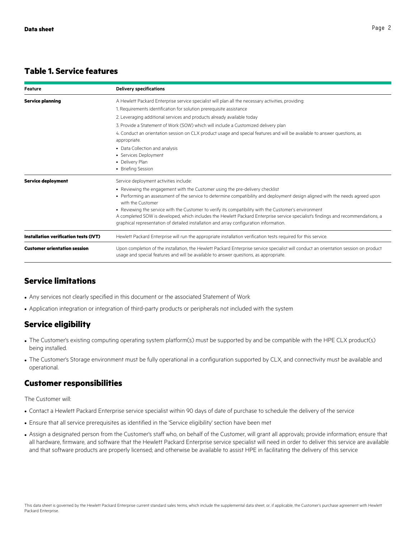## **Table 1. Service features**

| Feature                               | <b>Delivery specifications</b>                                                                                                                                                                                                 |
|---------------------------------------|--------------------------------------------------------------------------------------------------------------------------------------------------------------------------------------------------------------------------------|
| <b>Service planning</b>               | A Hewlett Packard Enterprise service specialist will plan all the necessary activities, providing:                                                                                                                             |
|                                       | 1. Requirements identification for solution prerequisite assistance                                                                                                                                                            |
|                                       | 2. Leveraging additional services and products already available today                                                                                                                                                         |
|                                       | 3. Provide a Statement of Work (SOW) which will include a Customized delivery plan                                                                                                                                             |
|                                       | 4. Conduct an orientation session on CLX product usage and special features and will be available to answer questions, as<br>appropriate.                                                                                      |
|                                       | • Data Collection and analysis                                                                                                                                                                                                 |
|                                       | • Services Deployment                                                                                                                                                                                                          |
|                                       | • Delivery Plan                                                                                                                                                                                                                |
|                                       | • Briefing Session                                                                                                                                                                                                             |
| <b>Service deployment</b>             | Service deployment activities include:                                                                                                                                                                                         |
|                                       | • Reviewing the engagement with the Customer using the pre-delivery checklist                                                                                                                                                  |
|                                       | • Performing an assessment of the service to determine compatibility and deployment design aligned with the needs agreed upon<br>with the Customer                                                                             |
|                                       | • Reviewing the service with the Customer to verify its compatibility with the Customer's environment                                                                                                                          |
|                                       | A completed SOW is developed, which includes the Hewlett Packard Enterprise service specialist's findings and recommendations, a<br>graphical representation of detailed installation and array configuration information.     |
| Installation verification tests (IVT) | Hewlett Packard Enterprise will run the appropriate installation verification tests required for this service.                                                                                                                 |
| <b>Customer orientation session</b>   | Upon completion of the installation, the Hewlett Packard Enterprise service specialist will conduct an orientation session on product<br>usage and special features and will be available to answer questions, as appropriate. |

## **Service limitations**

- Any services not clearly specified in this document or the associated Statement of Work
- Application integration or integration of third-party products or peripherals not included with the system

## **Service eligibility**

- The Customer's existing computing operating system platform(s) must be supported by and be compatible with the HPE CLX product(s) being installed.
- The Customer's Storage environment must be fully operational in a configuration supported by CLX, and connectivity must be available and operational.

### **Customer responsibilities**

The Customer will:

- Contact a Hewlett Packard Enterprise service specialist within 90 days of date of purchase to schedule the delivery of the service
- Ensure that all service prerequisites as identified in the 'Service eligibility' section have been met
- Assign a designated person from the Customer's staff who, on behalf of the Customer, will grant all approvals; provide information; ensure that all hardware, firmware, and software that the Hewlett Packard Enterprise service specialist will need in order to deliver this service are available and that software products are properly licensed; and otherwise be available to assist HPE in facilitating the delivery of this service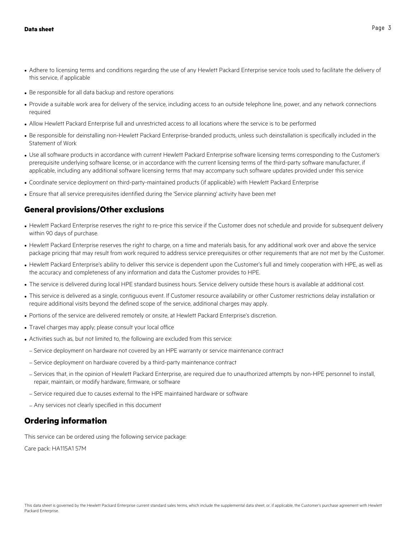- Adhere to licensing terms and conditions regarding the use of any Hewlett Packard Enterprise service tools used to facilitate the delivery of this service, if applicable
- Be responsible for all data backup and restore operations
- Provide a suitable work area for delivery of the service, including access to an outside telephone line, power, and any network connections required
- Allow Hewlett Packard Enterprise full and unrestricted access to all locations where the service is to be performed
- Be responsible for deinstalling non-Hewlett Packard Enterprise-branded products, unless such deinstallation is specifically included in the Statement of Work
- Use all software products in accordance with current Hewlett Packard Enterprise software licensing terms corresponding to the Customer's prerequisite underlying software license, or in accordance with the current licensing terms of the third-party software manufacturer, if applicable, including any additional software licensing terms that may accompany such software updates provided under this service
- Coordinate service deployment on third-party-maintained products (if applicable) with Hewlett Packard Enterprise
- Ensure that all service prerequisites identified during the 'Service planning' activity have been met

### **General provisions/Other exclusions**

- Hewlett Packard Enterprise reserves the right to re-price this service if the Customer does not schedule and provide for subsequent delivery within 90 days of purchase.
- Hewlett Packard Enterprise reserves the right to charge, on a time and materials basis, for any additional work over and above the service package pricing that may result from work required to address service prerequisites or other requirements that are not met by the Customer.
- Hewlett Packard Enterprise's ability to deliver this service is dependent upon the Customer's full and timely cooperation with HPE, as well as the accuracy and completeness of any information and data the Customer provides to HPE.
- The service is delivered during local HPE standard business hours. Service delivery outside these hours is available at additional cost.
- This service is delivered as a single, contiguous event. If Customer resource availability or other Customer restrictions delay installation or require additional visits beyond the defined scope of the service, additional charges may apply.
- Portions of the service are delivered remotely or onsite, at Hewlett Packard Enterprise's discretion.
- Travel charges may apply; please consult your local office
- Activities such as, but not limited to, the following are excluded from this service:
	- Service deployment on hardware not covered by an HPE warranty or service maintenance contract
	- Service deployment on hardware covered by a third-party maintenance contract
	- Services that, in the opinion of Hewlett Packard Enterprise, are required due to unauthorized attempts by non-HPE personnel to install, repair, maintain, or modify hardware, firmware, or software
	- Service required due to causes external to the HPE maintained hardware or software
	- Any services not clearly specified in this document

#### **Ordering information**

This service can be ordered using the following service package:

Care pack: HA115A1 57M